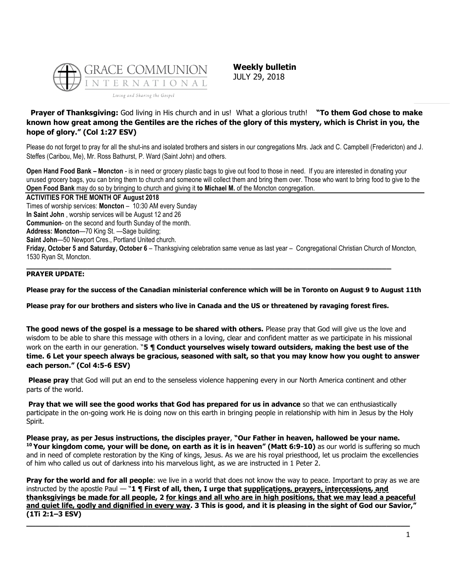

**Weekly bulletin** JULY 29, 2018

## **Prayer of Thanksgiving:** God living in His church and in us! What a glorious truth! **"To them God chose to make known how great among the Gentiles are the riches of the glory of this mystery, which is Christ in you, the hope of glory." (Col 1:27 ESV)**

Please do not forget to pray for all the shut-ins and isolated brothers and sisters in our congregations Mrs. Jack and C. Campbell (Fredericton) and J. Steffes (Caribou, Me), Mr. Ross Bathurst, P. Ward (Saint John) and others.

**Open Hand Food Bank – Moncton** - is in need or grocery plastic bags to give out food to those in need. If you are interested in donating your unused grocery bags, you can bring them to church and someone will collect them and bring them over. Those who want to bring food to give to the **Open Food Bank** may do so by bringing to church and giving it **to Michael M.** of the Moncton congregation.

#### **ACTIVITIES FOR THE MONTH OF August 2018**

Times of worship services: **Moncton** – 10:30 AM every Sunday

**In Saint John** , worship services will be August 12 and 26

**Communion**- on the second and fourth Sunday of the month.

**Address: Moncton**—70 King St. —Sage building;

**Saint John**—50 Newport Cres., Portland United church.

**Friday, October 5 and Saturday, October 6** – Thanksgiving celebration same venue as last year – Congregational Christian Church of Moncton, 1530 Ryan St, Moncton.

#### **PRAYER UPDATE:**

**Please pray for the success of the Canadian ministerial conference which will be in Toronto on August 9 to August 11th**

## **Please pray for our brothers and sisters who live in Canada and the US or threatened by ravaging forest fires.**

**\_\_\_\_\_\_\_\_\_\_\_\_\_\_\_\_\_\_\_\_\_\_\_\_\_\_\_\_\_\_\_\_\_\_\_\_\_\_\_\_\_\_\_\_\_\_\_\_\_\_\_\_\_\_\_\_\_\_\_\_\_\_\_\_\_\_\_\_\_\_\_\_\_\_\_\_\_\_**

**The good news of the gospel is a message to be shared with others.** Please pray that God will give us the love and wisdom to be able to share this message with others in a loving, clear and confident matter as we participate in his missional work on the earth in our generation. "**5 ¶ Conduct yourselves wisely toward outsiders, making the best use of the time. 6 Let your speech always be gracious, seasoned with salt, so that you may know how you ought to answer each person." (Col 4:5-6 ESV)**

**Please pray** that God will put an end to the senseless violence happening every in our North America continent and other parts of the world.

**Pray that we will see the good works that God has prepared for us in advance** so that we can enthusiastically participate in the on-going work He is doing now on this earth in bringing people in relationship with him in Jesus by the Holy Spirit.

**Please pray, as per Jesus instructions, the disciples prayer**, **"Our Father in heaven, hallowed be your name. <sup>10</sup> Your kingdom come, your will be done, on earth as it is in heaven" (Matt 6:9-10)** as our world is suffering so much and in need of complete restoration by the King of kings, Jesus. As we are his royal priesthood, let us proclaim the excellencies of him who called us out of darkness into his marvelous light, as we are instructed in 1 Peter 2.

**Pray for the world and for all people**: we live in a world that does not know the way to peace. Important to pray as we are instructed by the apostle Paul — "**1 ¶ First of all, then, I urge that supplications, prayers, intercessions, and thanksgivings be made for all people, 2 for kings and all who are in high positions, that we may lead a peaceful and quiet life, godly and dignified in every way. 3 This is good, and it is pleasing in the sight of God our Savior," (1Ti 2:1–3 ESV)**

**\_\_\_\_\_\_\_\_\_\_\_\_\_\_\_\_\_\_\_\_\_\_\_\_\_\_\_\_\_\_\_\_\_\_\_\_\_\_\_\_\_\_\_\_\_\_\_\_\_\_\_\_\_\_\_\_\_\_\_\_\_\_\_\_\_\_\_\_\_\_\_\_\_\_\_\_\_\_\_\_\_\_**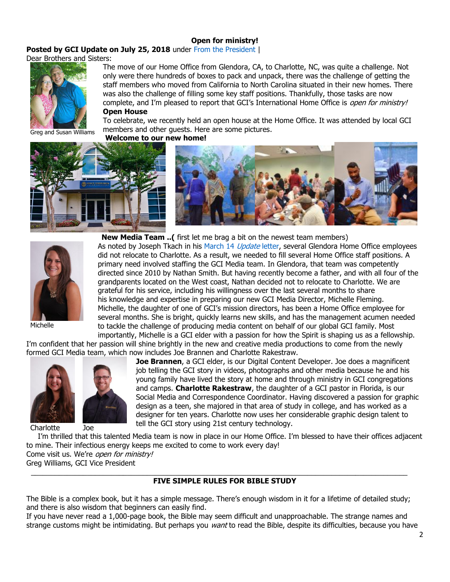## **[Open for ministry!](https://update.gci.org/2018/07/open-for-ministry/)**

Posted by GCI Update on July 25, 2018 under [From the President](https://update.gci.org/category/president/) |

Dear Brothers and Sisters:



The move of our Home Office from Glendora, CA, to Charlotte, NC, was quite a challenge. Not only were there hundreds of boxes to pack and unpack, there was the challenge of getting the staff members who moved from California to North Carolina situated in their new homes. There was also the challenge of filling some key staff positions. Thankfully, those tasks are now complete, and I'm pleased to report that GCI's International Home Office is open for ministry! **Open House**

Greg and Susan Williams

To celebrate, we recently held an open house at the Home Office. It was attended by local GCI members and other guests. Here are some pictures.

**Welcome to our new home!**







**New Media Team ..(** first let me brag a bit on the newest team members)

As noted by Joseph Tkach in his [March 14](https://update.gci.org/2018/03/glendora-mission-complete/) Update letter, several Glendora Home Office employees did not relocate to Charlotte. As a result, we needed to fill several Home Office staff positions. A primary need involved staffing the GCI Media team. In Glendora, that team was competently directed since 2010 by Nathan Smith. But having recently become a father, and with all four of the grandparents located on the West coast, Nathan decided not to relocate to Charlotte. We are grateful for his service, including his willingness over the last several months to share his knowledge and expertise in preparing our new GCI Media Director, Michelle Fleming. Michelle, the daughter of one of GCI's mission directors, has been a Home Office employee for several months. She is bright, quickly learns new skills, and has the management acumen needed to tackle the challenge of producing media content on behalf of our global GCI family. Most importantly, Michelle is a GCI elder with a passion for how the Spirit is shaping us as a fellowship.

Michelle

I'm confident that her passion will shine brightly in the new and creative media productions to come from the newly formed GCI Media team, which now includes Joe Brannen and Charlotte Rakestraw.



Charlotte Joe



**Joe Brannen**, a GCI elder, is our Digital Content Developer. Joe does a magnificent job telling the GCI story in videos, photographs and other media because he and his young family have lived the story at home and through ministry in GCI congregations and camps. **Charlotte Rakestraw**, the daughter of a GCI pastor in Florida, is our Social Media and Correspondence Coordinator. Having discovered a passion for graphic design as a teen, she majored in that area of study in college, and has worked as a designer for ten years. Charlotte now uses her considerable graphic design talent to tell the GCI story using 21st century technology.

I'm thrilled that this talented Media team is now in place in our Home Office. I'm blessed to have their offices adjacent to mine. Their infectious energy keeps me excited to come to work every day! Come visit us. We're *open for ministry!* 

Greg Williams, GCI Vice President

#### $\_$  ,  $\_$  ,  $\_$  ,  $\_$  ,  $\_$  ,  $\_$  ,  $\_$  ,  $\_$  ,  $\_$  ,  $\_$  ,  $\_$  ,  $\_$  ,  $\_$  ,  $\_$  ,  $\_$  ,  $\_$  ,  $\_$  ,  $\_$  ,  $\_$  ,  $\_$  ,  $\_$  ,  $\_$  ,  $\_$  ,  $\_$  ,  $\_$  ,  $\_$  ,  $\_$  ,  $\_$  ,  $\_$  ,  $\_$  ,  $\_$  ,  $\_$  ,  $\_$  ,  $\_$  ,  $\_$  ,  $\_$  ,  $\_$  , **FIVE SIMPLE RULES FOR BIBLE STUDY**

The Bible is a complex book, but it has a simple message. There's enough wisdom in it for a lifetime of detailed study; and there is also wisdom that beginners can easily find.

If you have never read a 1,000-page book, the Bible may seem difficult and unapproachable. The strange names and strange customs might be intimidating. But perhaps you want to read the Bible, despite its difficulties, because you have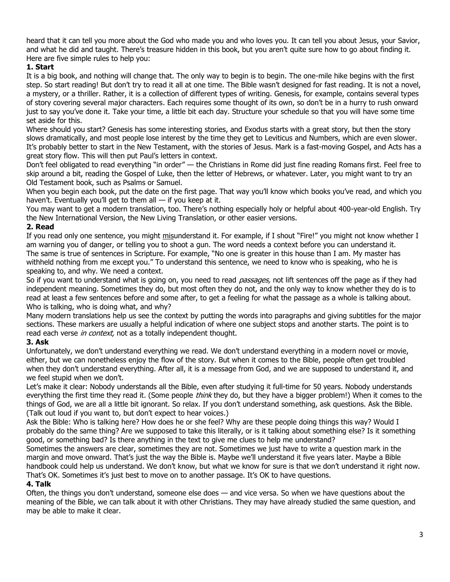heard that it can tell you more about the God who made you and who loves you. It can tell you about Jesus, your Savior, and what he did and taught. There's treasure hidden in this book, but you aren't quite sure how to go about finding it. Here are five simple rules to help you:

# **1. Start**

It is a big book, and nothing will change that. The only way to begin is to begin. The one-mile hike begins with the first step. So start reading! But don't try to read it all at one time. The Bible wasn't designed for fast reading. It is not a novel, a mystery, or a thriller. Rather, it is a collection of different types of writing. Genesis, for example, contains several types of story covering several major characters. Each requires some thought of its own, so don't be in a hurry to rush onward just to say you've done it. Take your time, a little bit each day. Structure your schedule so that you will have some time set aside for this.

Where should you start? Genesis has some interesting stories, and Exodus starts with a great story, but then the story slows dramatically, and most people lose interest by the time they get to Leviticus and Numbers, which are even slower. It's probably better to start in the New Testament, with the stories of Jesus. Mark is a fast-moving Gospel, and Acts has a great story flow. This will then put Paul's letters in context.

Don't feel obligated to read everything "in order" — the Christians in Rome did just fine reading Romans first. Feel free to skip around a bit, reading the Gospel of Luke, then the letter of Hebrews, or whatever. Later, you might want to try an Old Testament book, such as Psalms or Samuel.

When you begin each book, put the date on the first page. That way you'll know which books you've read, and which you haven't. Eventually you'll get to them all  $-$  if you keep at it.

You may want to get a modern translation, too. There's nothing especially holy or helpful about 400-year-old English. Try the New International Version, the New Living Translation, or other easier versions.

# **2. Read**

If you read only one sentence, you might misunderstand it. For example, if I shout "Fire!" you might not know whether I am warning you of danger, or telling you to shoot a gun. The word needs a context before you can understand it. The same is true of sentences in Scripture. For example, "No one is greater in this house than I am. My master has withheld nothing from me except you." To understand this sentence, we need to know who is speaking, who he is speaking to, and why. We need a context.

So if you want to understand what is going on, you need to read *passages*, not lift sentences off the page as if they had independent meaning. Sometimes they do, but most often they do not, and the only way to know whether they do is to read at least a few sentences before and some after, to get a feeling for what the passage as a whole is talking about. Who is talking, who is doing what, and why?

Many modern translations help us see the context by putting the words into paragraphs and giving subtitles for the major sections. These markers are usually a helpful indication of where one subject stops and another starts. The point is to read each verse *in context*, not as a totally independent thought.

# **3. Ask**

Unfortunately, we don't understand everything we read. We don't understand everything in a modern novel or movie, either, but we can nonetheless enjoy the flow of the story. But when it comes to the Bible, people often get troubled when they don't understand everything. After all, it is a message from God, and we are supposed to understand it, and we feel stupid when we don't.

Let's make it clear: Nobody understands all the Bible, even after studying it full-time for 50 years. Nobody understands everything the first time they read it. (Some people *think* they do, but they have a bigger problem!) When it comes to the things of God, we are all a little bit ignorant. So relax. If you don't understand something, ask questions. Ask the Bible. (Talk out loud if you want to, but don't expect to hear voices.)

Ask the Bible: Who is talking here? How does he or she feel? Why are these people doing things this way? Would I probably do the same thing? Are we supposed to take this literally, or is it talking about something else? Is it something good, or something bad? Is there anything in the text to give me clues to help me understand?

Sometimes the answers are clear, sometimes they are not. Sometimes we just have to write a question mark in the margin and move onward. That's just the way the Bible is. Maybe we'll understand it five years later. Maybe a Bible handbook could help us understand. We don't know, but what we know for sure is that we don't understand it right now. That's OK. Sometimes it's just best to move on to another passage. It's OK to have questions.

# **4. Talk**

Often, the things you don't understand, someone else does — and vice versa. So when we have questions about the meaning of the Bible, we can talk about it with other Christians. They may have already studied the same question, and may be able to make it clear.